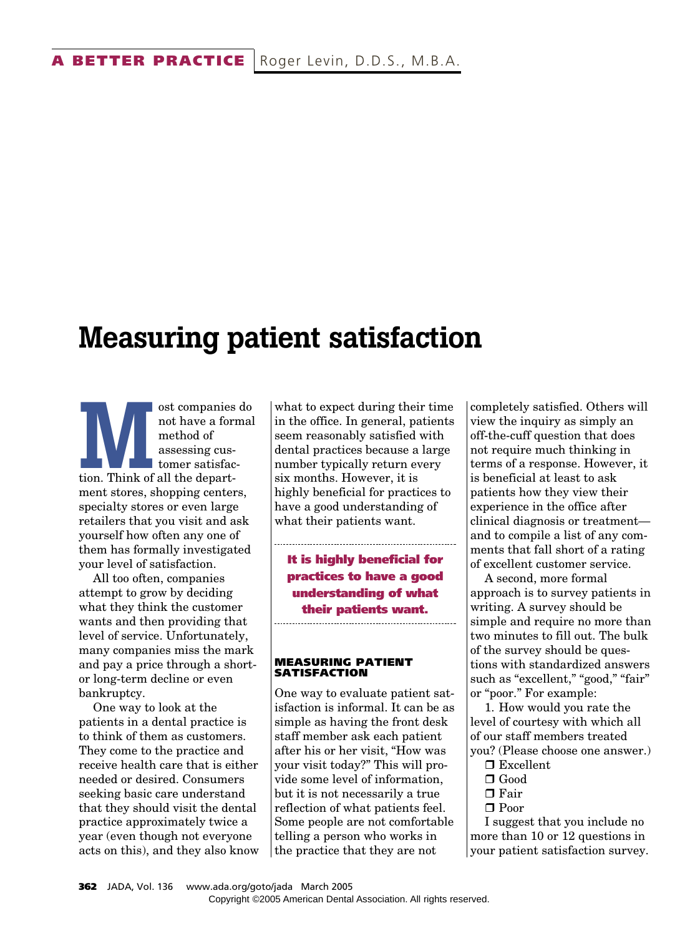## **Measuring patient satisfaction**

**Most companies do**<br>
not have a forma<br>
method of<br>
assessing cus-<br>
tomer satisfac-<br>
tion. Think of all the departnot have a formal method of assessing customer satisfacment stores, shopping centers, specialty stores or even large retailers that you visit and ask yourself how often any one of them has formally investigated your level of satisfaction.

All too often, companies attempt to grow by deciding what they think the customer wants and then providing that level of service. Unfortunately, many companies miss the mark and pay a price through a shortor long-term decline or even bankruptcy.

One way to look at the patients in a dental practice is to think of them as customers. They come to the practice and receive health care that is either needed or desired. Consumers seeking basic care understand that they should visit the dental practice approximately twice a year (even though not everyone acts on this), and they also know what to expect during their time in the office. In general, patients seem reasonably satisfied with dental practices because a large number typically return every six months. However, it is highly beneficial for practices to have a good understanding of what their patients want.

**It is highly beneficial for practices to have a good understanding of what their patients want.**

**MEASURING PATIENT SATISFACTION**

One way to evaluate patient satisfaction is informal. It can be as simple as having the front desk staff member ask each patient after his or her visit, "How was your visit today?" This will provide some level of information, but it is not necessarily a true reflection of what patients feel. Some people are not comfortable telling a person who works in the practice that they are not

completely satisfied. Others will view the inquiry as simply an off-the-cuff question that does not require much thinking in terms of a response. However, it is beneficial at least to ask patients how they view their experience in the office after clinical diagnosis or treatment and to compile a list of any comments that fall short of a rating of excellent customer service.

A second, more formal approach is to survey patients in writing. A survey should be simple and require no more than two minutes to fill out. The bulk of the survey should be questions with standardized answers such as "excellent," "good," "fair" or "poor." For example:

1. How would you rate the level of courtesy with which all of our staff members treated you? (Please choose one answer.)

- □ Excellent
- $\Box$  Good
- $\Box$  Fair
- □ Poor

I suggest that you include no more than 10 or 12 questions in your patient satisfaction survey.